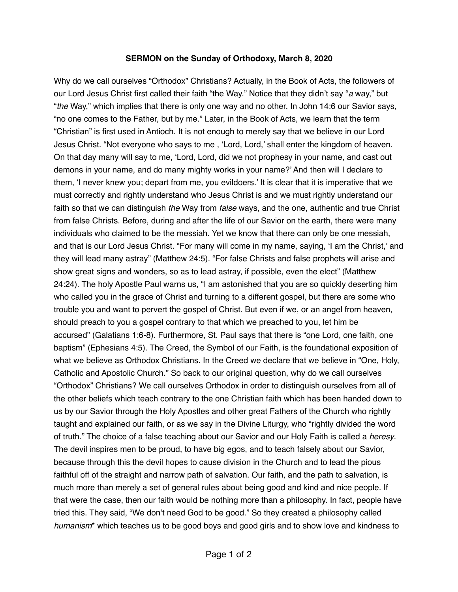## **SERMON on the Sunday of Orthodoxy, March 8, 2020**

Why do we call ourselves "Orthodox" Christians? Actually, in the Book of Acts, the followers of our Lord Jesus Christ first called their faith "the Way." Notice that they didn't say "*a* way," but "*the* Way," which implies that there is only one way and no other. In John 14:6 our Savior says, "no one comes to the Father, but by me." Later, in the Book of Acts, we learn that the term "Christian" is first used in Antioch. It is not enough to merely say that we believe in our Lord Jesus Christ. "Not everyone who says to me , 'Lord, Lord,' shall enter the kingdom of heaven. On that day many will say to me, 'Lord, Lord, did we not prophesy in your name, and cast out demons in your name, and do many mighty works in your name?' And then will I declare to them, 'I never knew you; depart from me, you evildoers.' It is clear that it is imperative that we must correctly and rightly understand who Jesus Christ is and we must rightly understand our faith so that we can distinguish *the* Way from *false* ways, and the one, authentic and true Christ from false Christs. Before, during and after the life of our Savior on the earth, there were many individuals who claimed to be the messiah. Yet we know that there can only be one messiah, and that is our Lord Jesus Christ. "For many will come in my name, saying, 'I am the Christ,' and they will lead many astray" (Matthew 24:5). "For false Christs and false prophets will arise and show great signs and wonders, so as to lead astray, if possible, even the elect" (Matthew 24:24). The holy Apostle Paul warns us, "I am astonished that you are so quickly deserting him who called you in the grace of Christ and turning to a different gospel, but there are some who trouble you and want to pervert the gospel of Christ. But even if we, or an angel from heaven, should preach to you a gospel contrary to that which we preached to you, let him be accursed" (Galatians 1:6-8). Furthermore, St. Paul says that there is "one Lord, one faith, one baptism" (Ephesians 4:5). The Creed, the Symbol of our Faith, is the foundational exposition of what we believe as Orthodox Christians. In the Creed we declare that we believe in "One, Holy, Catholic and Apostolic Church." So back to our original question, why do we call ourselves "Orthodox" Christians? We call ourselves Orthodox in order to distinguish ourselves from all of the other beliefs which teach contrary to the one Christian faith which has been handed down to us by our Savior through the Holy Apostles and other great Fathers of the Church who rightly taught and explained our faith, or as we say in the Divine Liturgy, who "rightly divided the word of truth." The choice of a false teaching about our Savior and our Holy Faith is called a *heresy*. The devil inspires men to be proud, to have big egos, and to teach falsely about our Savior, because through this the devil hopes to cause division in the Church and to lead the pious faithful off of the straight and narrow path of salvation. Our faith, and the path to salvation, is much more than merely a set of general rules about being good and kind and nice people. If that were the case, then our faith would be nothing more than a philosophy. In fact, people have tried this. They said, "We don't need God to be good." So they created a philosophy called *humanism*\* which teaches us to be good boys and good girls and to show love and kindness to